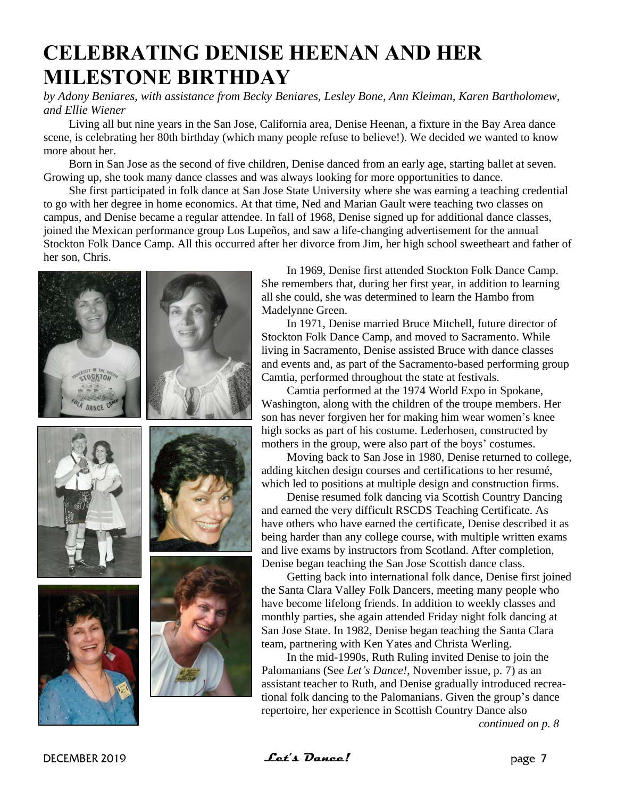## **CELEBRATING DENISE HEENAN AND HER MILESTONE BIRTHDAY**

*by Adony Beniares, with assistance from Becky Beniares, Lesley Bone, Ann Kleiman, Karen Bartholomew, and Ellie Wiener*

Living all but nine years in the San Jose, California area, Denise Heenan, a fixture in the Bay Area dance scene, is celebrating her 80th birthday (which many people refuse to believe!). We decided we wanted to know more about her.

Born in San Jose as the second of five children, Denise danced from an early age, starting ballet at seven. Growing up, she took many dance classes and was always looking for more opportunities to dance.

She first participated in folk dance at San Jose State University where she was earning a teaching credential to go with her degree in home economics. At that time, Ned and Marian Gault were teaching two classes on campus, and Denise became a regular attendee. In fall of 1968, Denise signed up for additional dance classes, joined the Mexican performance group Los Lupeños, and saw a life-changing advertisement for the annual Stockton Folk Dance Camp. All this occurred after her divorce from Jim, her high school sweetheart and father of her son, Chris.



In 1969, Denise first attended Stockton Folk Dance Camp. She remembers that, during her first year, in addition to learning all she could, she was determined to learn the Hambo from Madelynne Green.

In 1971, Denise married Bruce Mitchell, future director of Stockton Folk Dance Camp, and moved to Sacramento. While living in Sacramento, Denise assisted Bruce with dance classes and events and, as part of the Sacramento-based performing group Camtia, performed throughout the state at festivals.

Camtia performed at the 1974 World Expo in Spokane, Washington, along with the children of the troupe members. Her son has never forgiven her for making him wear women's knee high socks as part of his costume. Lederhosen, constructed by mothers in the group, were also part of the boys' costumes.

Moving back to San Jose in 1980, Denise returned to college, adding kitchen design courses and certifications to her resumé, which led to positions at multiple design and construction firms.

Denise resumed folk dancing via Scottish Country Dancing and earned the very difficult RSCDS Teaching Certificate. As have others who have earned the certificate, Denise described it as being harder than any college course, with multiple written exams and live exams by instructors from Scotland. After completion, Denise began teaching the San Jose Scottish dance class.

Getting back into international folk dance, Denise first joined the Santa Clara Valley Folk Dancers, meeting many people who have become lifelong friends. In addition to weekly classes and monthly parties, she again attended Friday night folk dancing at San Jose State. In 1982, Denise began teaching the Santa Clara team, partnering with Ken Yates and Christa Werling.

In the mid-1990s, Ruth Ruling invited Denise to join the Palomanians (See *Let's Dance!*, November issue, p. 7) as an assistant teacher to Ruth, and Denise gradually introduced recreational folk dancing to the Palomanians. Given the group's dance repertoire, her experience in Scottish Country Dance also

*continued on p. [8](#page-1-0)*